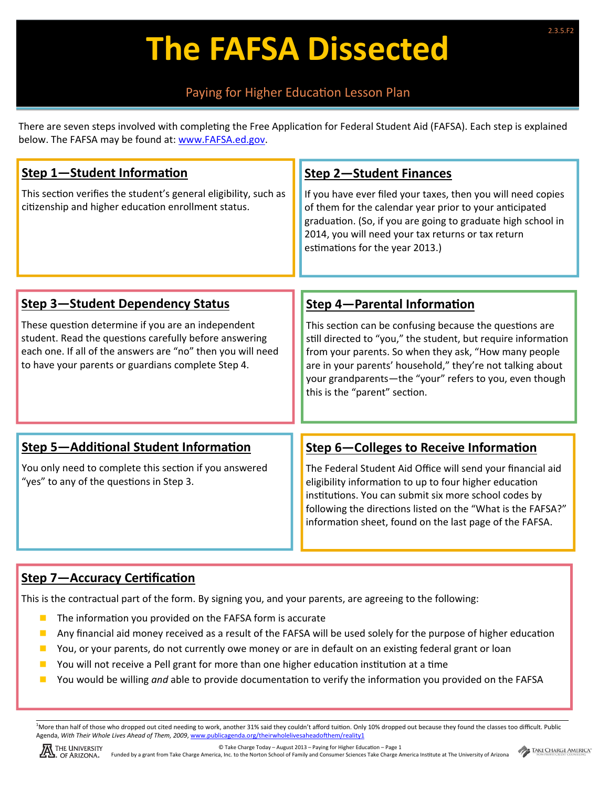# **The FAFSA Dissected**

### Paying for Higher Education Lesson Plan

There are seven steps involved with completing the Free Application for Federal Student Aid (FAFSA). Each step is explained below. The FAFSA may be found at: www.FAFSA.ed.gov.

| Step 1-Student Information                                                                                                                                                                                                        | <b>Step 2-Student Finances</b>                                                                                                                                                                                                                                                                                                              |
|-----------------------------------------------------------------------------------------------------------------------------------------------------------------------------------------------------------------------------------|---------------------------------------------------------------------------------------------------------------------------------------------------------------------------------------------------------------------------------------------------------------------------------------------------------------------------------------------|
| This section verifies the student's general eligibility, such as<br>citizenship and higher education enrollment status.                                                                                                           | If you have ever filed your taxes, then you will need copies<br>of them for the calendar year prior to your anticipated<br>graduation. (So, if you are going to graduate high school in<br>2014, you will need your tax returns or tax return<br>estimations for the year 2013.)                                                            |
|                                                                                                                                                                                                                                   |                                                                                                                                                                                                                                                                                                                                             |
| <b>Step 3-Student Dependency Status</b>                                                                                                                                                                                           | <b>Step 4-Parental Information</b>                                                                                                                                                                                                                                                                                                          |
| These question determine if you are an independent<br>student. Read the questions carefully before answering<br>each one. If all of the answers are "no" then you will need<br>to have your parents or guardians complete Step 4. | This section can be confusing because the questions are<br>still directed to "you," the student, but require information<br>from your parents. So when they ask, "How many people<br>are in your parents' household," they're not talking about<br>your grandparents-the "your" refers to you, even though<br>this is the "parent" section. |
|                                                                                                                                                                                                                                   |                                                                                                                                                                                                                                                                                                                                             |
| <b>Step 5-Additional Student Information</b>                                                                                                                                                                                      | <b>Step 6-Colleges to Receive Information</b>                                                                                                                                                                                                                                                                                               |
| You only need to complete this section if you answered<br>"yes" to any of the questions in Step 3.                                                                                                                                | The Federal Student Aid Office will send your financial aid<br>eligibility information to up to four higher education<br>institutions. You can submit six more school codes by<br>following the directions listed on the "What is the FAFSA?"<br>information sheet, found on the last page of the FAFSA.                                    |
|                                                                                                                                                                                                                                   |                                                                                                                                                                                                                                                                                                                                             |

## **Step 7—Accuracy Certification**

This is the contractual part of the form. By signing you, and your parents, are agreeing to the following:

- $\blacksquare$  The information you provided on the FAFSA form is accurate
- Any financial aid money received as a result of the FAFSA will be used solely for the purpose of higher education
- $\blacksquare$  You, or your parents, do not currently owe money or are in default on an existing federal grant or loan
- $\blacksquare$  You will not receive a Pell grant for more than one higher education institution at a time
- You would be willing *and* able to provide documentation to verify the information you provided on the FAFSA

<sup>1</sup>More than half of those who dropped out cited needing to work, another 31% said they couldn't afford tuition. Only 10% dropped out because they found the classes too difficult. Public Agenda, With Their Whole Lives Ahead of Them, 2009, www.publicagenda.org/theirwholelivesaheadofthem/reality1